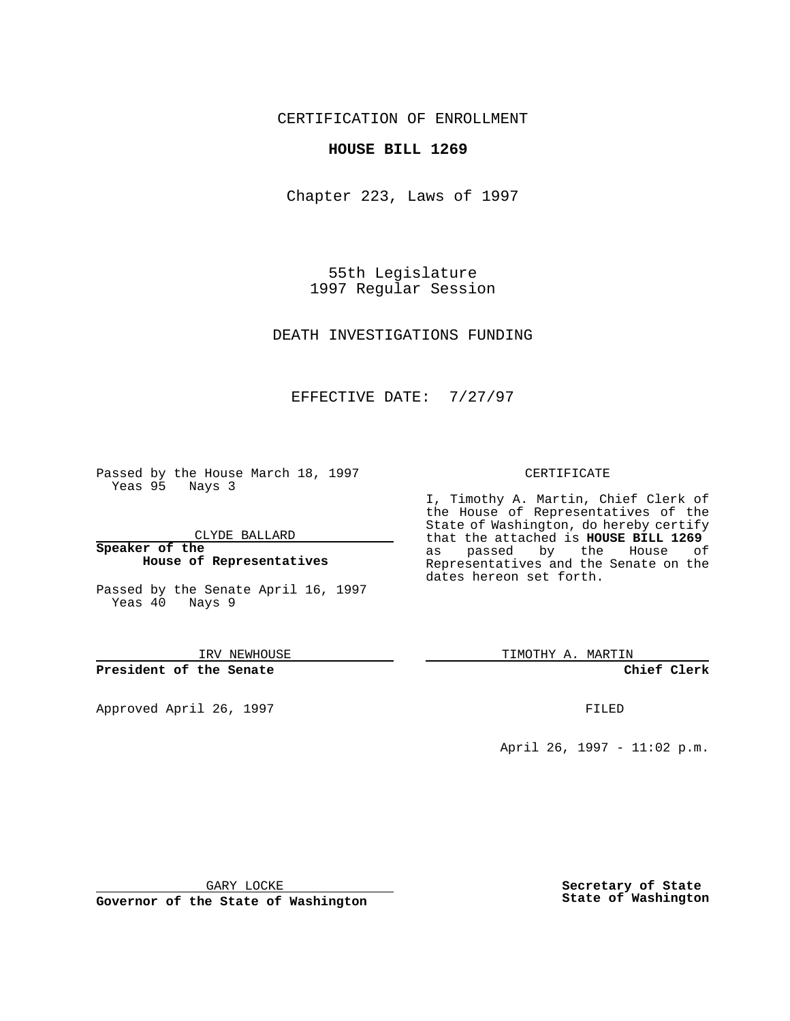CERTIFICATION OF ENROLLMENT

## **HOUSE BILL 1269**

Chapter 223, Laws of 1997

55th Legislature 1997 Regular Session

DEATH INVESTIGATIONS FUNDING

## EFFECTIVE DATE: 7/27/97

Passed by the House March 18, 1997 Yeas 95 Nays 3

CLYDE BALLARD

**Speaker of the House of Representatives**

Passed by the Senate April 16, 1997 Yeas 40 Nays 9

IRV NEWHOUSE

**President of the Senate**

Approved April 26, 1997 **FILED** 

## CERTIFICATE

I, Timothy A. Martin, Chief Clerk of the House of Representatives of the State of Washington, do hereby certify that the attached is **HOUSE BILL 1269** as passed by the House of Representatives and the Senate on the dates hereon set forth.

TIMOTHY A. MARTIN

**Chief Clerk**

April 26, 1997 - 11:02 p.m.

GARY LOCKE

**Governor of the State of Washington**

**Secretary of State State of Washington**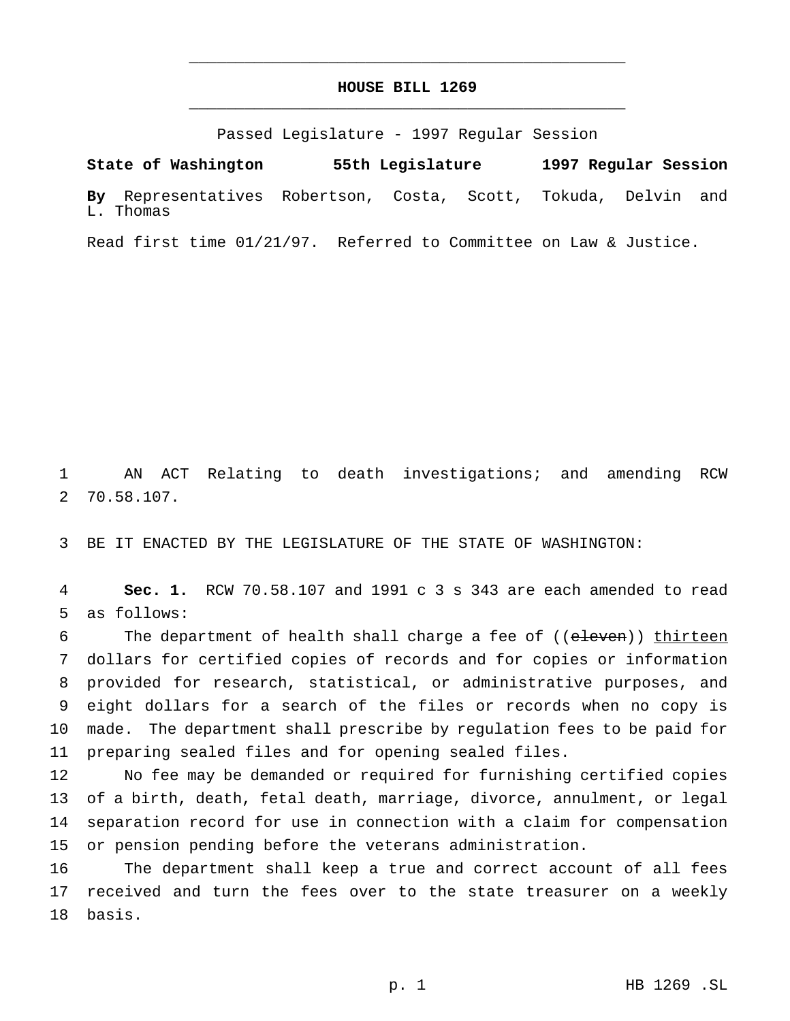## **HOUSE BILL 1269** \_\_\_\_\_\_\_\_\_\_\_\_\_\_\_\_\_\_\_\_\_\_\_\_\_\_\_\_\_\_\_\_\_\_\_\_\_\_\_\_\_\_\_\_\_\_\_

\_\_\_\_\_\_\_\_\_\_\_\_\_\_\_\_\_\_\_\_\_\_\_\_\_\_\_\_\_\_\_\_\_\_\_\_\_\_\_\_\_\_\_\_\_\_\_

Passed Legislature - 1997 Regular Session

**State of Washington 55th Legislature 1997 Regular Session By** Representatives Robertson, Costa, Scott, Tokuda, Delvin and L. Thomas

Read first time 01/21/97. Referred to Committee on Law & Justice.

 AN ACT Relating to death investigations; and amending RCW 70.58.107.

BE IT ENACTED BY THE LEGISLATURE OF THE STATE OF WASHINGTON:

 **Sec. 1.** RCW 70.58.107 and 1991 c 3 s 343 are each amended to read as follows:

6 The department of health shall charge a fee of ((eleven)) thirteen dollars for certified copies of records and for copies or information provided for research, statistical, or administrative purposes, and eight dollars for a search of the files or records when no copy is made. The department shall prescribe by regulation fees to be paid for preparing sealed files and for opening sealed files.

 No fee may be demanded or required for furnishing certified copies of a birth, death, fetal death, marriage, divorce, annulment, or legal separation record for use in connection with a claim for compensation or pension pending before the veterans administration.

 The department shall keep a true and correct account of all fees received and turn the fees over to the state treasurer on a weekly basis.